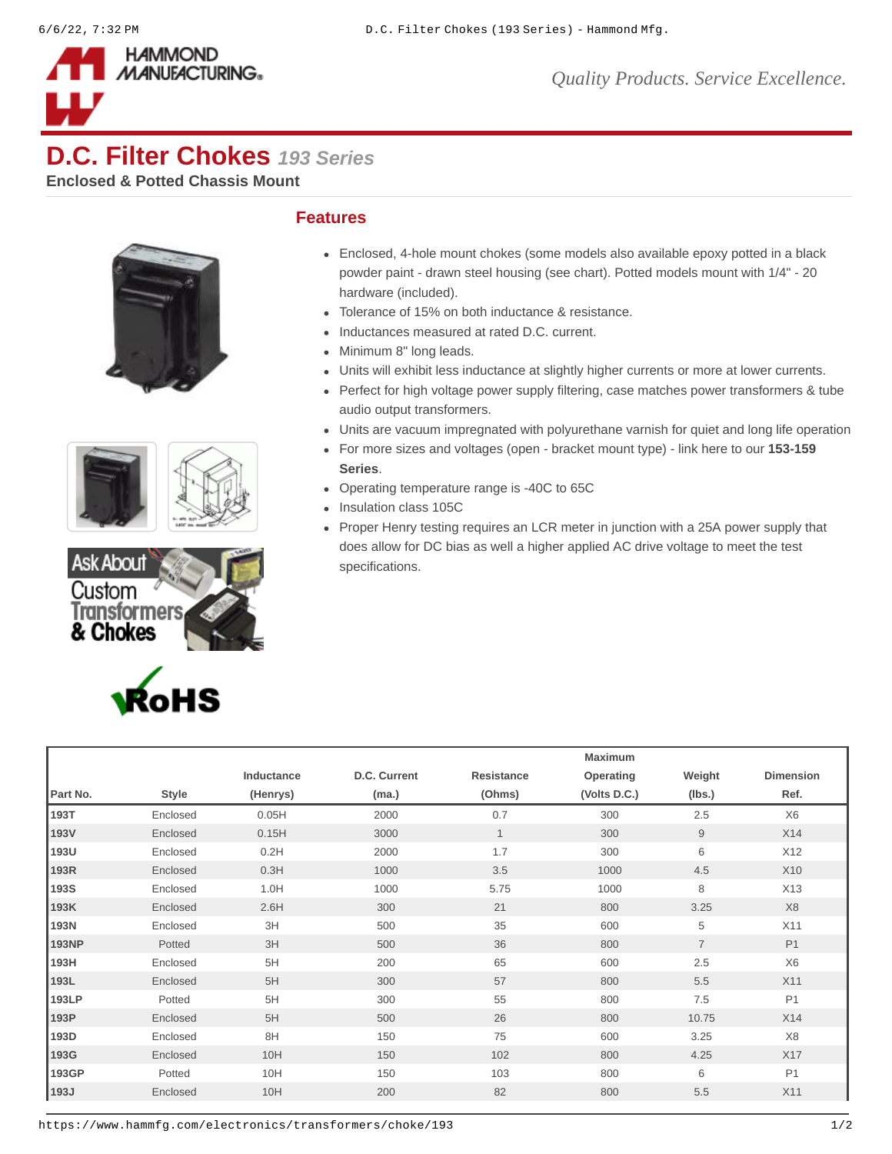

## **D.C. Filter Chokes** *193 Series*

**Enclosed & Potted Chassis Mount**









## **Features**

- Enclosed, 4-hole mount chokes (some models also available epoxy potted in a black powder paint - drawn steel housing (see chart). Potted models mount with 1/4" - 20 hardware (included).
- Tolerance of 15% on both inductance & resistance.
- Inductances measured at rated D.C. current.
- Minimum 8" long leads.
- Units will exhibit less inductance at slightly higher currents or more at lower currents.
- Perfect for high voltage power supply filtering, case matches power transformers & tube audio output transformers.
- Units are vacuum impregnated with polyurethane varnish for quiet and long life operation
- [For more sizes and voltages \(open bracket mount type\) link here to our](https://www.hammfg.com/product/153-159) **153-159 Series**.
- Operating temperature range is -40C to 65C
- Insulation class 105C
- Proper Henry testing requires an LCR meter in junction with a 25A power supply that does allow for DC bias as well a higher applied AC drive voltage to meet the test specifications.

|              |              |            |              | Maximum    |              |                |                  |  |
|--------------|--------------|------------|--------------|------------|--------------|----------------|------------------|--|
|              |              | Inductance | D.C. Current | Resistance | Operating    | Weight         | <b>Dimension</b> |  |
| Part No.     | <b>Style</b> | (Henrys)   | (ma.)        | (Ohms)     | (Volts D.C.) | (lbs.)         | Ref.             |  |
| 193T         | Enclosed     | 0.05H      | 2000         | 0.7        | 300          | 2.5            | X <sub>6</sub>   |  |
| 193V         | Enclosed     | 0.15H      | 3000         | $1\,$      | 300          | 9              | X14              |  |
| 193U         | Enclosed     | 0.2H       | 2000         | 1.7        | 300          | 6              | X12              |  |
| 193R         | Enclosed     | 0.3H       | 1000         | 3.5        | 1000         | 4.5            | X10              |  |
| 193S         | Enclosed     | 1.0H       | 1000         | 5.75       | 1000         | 8              | X13              |  |
| 193K         | Enclosed     | 2.6H       | 300          | 21         | 800          | 3.25           | X <sub>8</sub>   |  |
| 193N         | Enclosed     | 3H         | 500          | 35         | 600          | 5              | X11              |  |
| <b>193NP</b> | Potted       | 3H         | 500          | 36         | 800          | $\overline{7}$ | P1               |  |
| 193H         | Enclosed     | 5H         | 200          | 65         | 600          | 2.5            | X <sub>6</sub>   |  |
| 193L         | Enclosed     | 5H         | 300          | 57         | 800          | 5.5            | X11              |  |
| 193LP        | Potted       | 5H         | 300          | 55         | 800          | 7.5            | P1               |  |
| 193P         | Enclosed     | 5H         | 500          | 26         | 800          | 10.75          | X14              |  |
| 193D         | Enclosed     | 8H         | 150          | 75         | 600          | 3.25           | X8               |  |
| 193G         | Enclosed     | 10H        | 150          | 102        | 800          | 4.25           | X17              |  |
| 193GP        | Potted       | 10H        | 150          | 103        | 800          | 6              | P1               |  |
| 193J         | Enclosed     | 10H        | 200          | 82         | 800          | 5.5            | X11              |  |